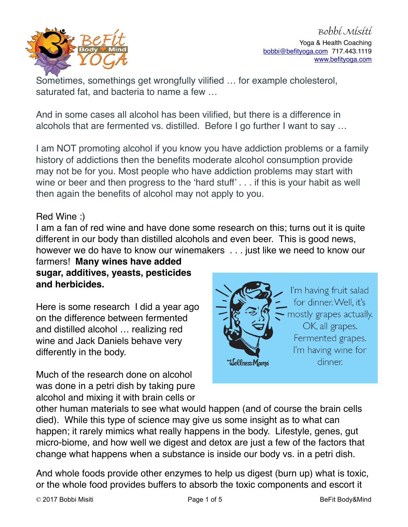

Sometimes, somethings get wrongfully vilified … for example cholesterol, saturated fat, and bacteria to name a few …

And in some cases all alcohol has been vilified, but there is a difference in alcohols that are fermented vs. distilled. Before I go further I want to say …

I am NOT promoting alcohol if you know you have addiction problems or a family history of addictions then the benefits moderate alcohol consumption provide may not be for you. Most people who have addiction problems may start with wine or beer and then progress to the 'hard stuff' . . . if this is your habit as well then again the benefits of alcohol may not apply to you.

## Red Wine :)

I am a fan of red wine and have done some research on this; turns out it is quite different in our body than distilled alcohols and even beer. This is good news, however we do have to know our winemakers . . . just like we need to know our

farmers! **Many wines have added sugar, additives, yeasts, pesticides and herbicides.** 

Here is some research I did a year ago on the difference between fermented and distilled alcohol … realizing red wine and Jack Daniels behave very differently in the body.

Much of the research done on alcohol was done in a petri dish by taking pure alcohol and mixing it with brain cells or



I'm having fruit salad for dinner. Well, it's mostly grapes actually. OK, all grapes. Fermented grapes. I'm having wine for dinner.

other human materials to see what would happen (and of course the brain cells died). While this type of science may give us some insight as to what can happen; it rarely mimics what really happens in the body. Lifestyle, genes, gut micro-biome, and how well we digest and detox are just a few of the factors that change what happens when a substance is inside our body vs. in a petri dish.

And whole foods provide other enzymes to help us digest (burn up) what is toxic, or the whole food provides buffers to absorb the toxic components and escort it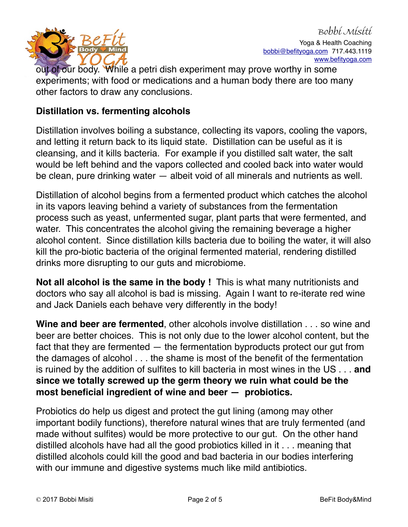

out of our body. While a petri dish experiment may prove worthy in some experiments; with food or medications and a human body there are too many other factors to draw any conclusions.

## **Distillation vs. fermenting alcohols**

Distillation involves boiling a substance, collecting its vapors, cooling the vapors, and letting it return back to its liquid state. Distillation can be useful as it is cleansing, and it kills bacteria. For example if you distilled salt water, the salt would be left behind and the vapors collected and cooled back into water would be clean, pure drinking water — albeit void of all minerals and nutrients as well.

Distillation of alcohol begins from a fermented product which catches the alcohol in its vapors leaving behind a variety of substances from the fermentation process such as yeast, unfermented sugar, plant parts that were fermented, and water. This concentrates the alcohol giving the remaining beverage a higher alcohol content. Since distillation kills bacteria due to boiling the water, it will also kill the pro-biotic bacteria of the original fermented material, rendering distilled drinks more disrupting to our guts and microbiome.

**Not all alcohol is the same in the body !** This is what many nutritionists and doctors who say all alcohol is bad is missing. Again I want to re-iterate red wine and Jack Daniels each behave very differently in the body!

**Wine and beer are fermented**, other alcohols involve distillation . . . so wine and beer are better choices. This is not only due to the lower alcohol content, but the fact that they are fermented — the fermentation byproducts protect our gut from the damages of alcohol . . . the shame is most of the benefit of the fermentation is ruined by the addition of sulfites to kill bacteria in most wines in the US . . . **and since we totally screwed up the germ theory we ruin what could be the most beneficial ingredient of wine and beer — probiotics.** 

Probiotics do help us digest and protect the gut lining (among may other important bodily functions), therefore natural wines that are truly fermented (and made without sulfites) would be more protective to our gut. On the other hand distilled alcohols have had all the good probiotics killed in it . . . meaning that distilled alcohols could kill the good and bad bacteria in our bodies interfering with our immune and digestive systems much like mild antibiotics.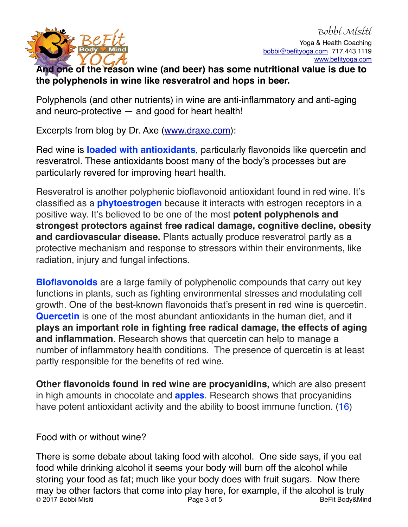

## **And one of the reason wine (and beer) has some nutritional value is due to the polyphenols in wine like resveratrol and hops in beer.**

Polyphenols (and other nutrients) in wine are anti-inflammatory and anti-aging and neuro-protective — and good for heart health!

Excerpts from blog by Dr. Axe ([www.draxe.com\)](http://www.draxe.com):

Red wine is **[loaded with antioxidants](https://draxe.com/top-10-high-antioxidant-foods/)**, particularly flavonoids like quercetin and resveratrol. These antioxidants boost many of the body's processes but are particularly revered for improving heart health.

Resveratrol is another polyphenic bioflavonoid antioxidant found in red wine. It's classified as a **[phytoestrogen](https://draxe.com/phytoestrogens/)** because it interacts with estrogen receptors in a positive way. It's believed to be one of the most **potent polyphenols and strongest protectors against free radical damage, cognitive decline, obesity and cardiovascular disease.** Plants actually produce resveratrol partly as a protective mechanism and response to stressors within their environments, like radiation, injury and fungal infections.

**[Bioflavonoids](https://draxe.com/bioflavonoids/)** are a large family of polyphenolic compounds that carry out key functions in plants, such as fighting environmental stresses and modulating cell growth. One of the best-known flavonoids that's present in red wine is quercetin. **[Quercetin](https://draxe.com/quercetin/)** is one of the most abundant antioxidants in the human diet, and it **plays an important role in fighting free radical damage, the effects of aging and inflammation**. Research shows that quercetin can help to manage a number of inflammatory health conditions. The presence of quercetin is at least partly responsible for the benefits of red wine.

**Other flavonoids found in red wine are procyanidins,** which are also present in high amounts in chocolate and **[apples](https://draxe.com/apple-nutrition/)**. Research shows that procyanidins have potent antioxidant activity and the ability to boost immune function. [\(16](http://jn.nutrition.org/content/130/8/2086S.full))

Food with or without wine?

There is some debate about taking food with alcohol. One side says, if you eat food while drinking alcohol it seems your body will burn off the alcohol while storing your food as fat; much like your body does with fruit sugars. Now there may be other factors that come into play here, for example, if the alcohol is truly<br> $\frac{1}{2}$  2017 Bobbi Misiti **Dage 3** of 5 BeFit Body&Mind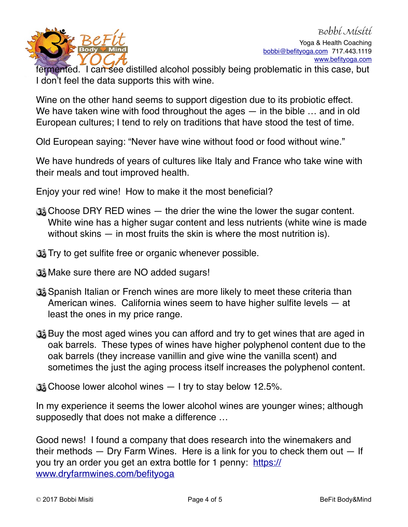

fermented. I can see distilled alcohol possibly being problematic in this case, but I don't feel the data supports this with wine.

Wine on the other hand seems to support digestion due to its probiotic effect. We have taken wine with food throughout the ages — in the bible ... and in old European cultures; I tend to rely on traditions that have stood the test of time.

Old European saying: "Never have wine without food or food without wine."

We have hundreds of years of cultures like Italy and France who take wine with their meals and tout improved health.

Enjoy your red wine! How to make it the most beneficial?

- Choose DRY RED wines the drier the wine the lower the sugar content. White wine has a higher sugar content and less nutrients (white wine is made without skins — in most fruits the skin is where the most nutrition is).
- **The Try to get sulfite free or organic whenever possible.**
- **W** Make sure there are NO added sugars!
- Spanish Italian or French wines are more likely to meet these criteria than American wines. California wines seem to have higher sulfite levels — at least the ones in my price range.
- Buy the most aged wines you can afford and try to get wines that are aged in oak barrels. These types of wines have higher polyphenol content due to the oak barrels (they increase vanillin and give wine the vanilla scent) and sometimes the just the aging process itself increases the polyphenol content.
- $\mathbb{G}_2^*$  Choose lower alcohol wines  $-1$  try to stay below 12.5%.

In my experience it seems the lower alcohol wines are younger wines; although supposedly that does not make a difference …

Good news! I found a company that does research into the winemakers and their methods — Dry Farm Wines. Here is a link for you to check them out — If [you try an order you get an extra bottle for 1 penny: https://](https://www.dryfarmwines.com/befityoga) www.dryfarmwines.com/befityoga